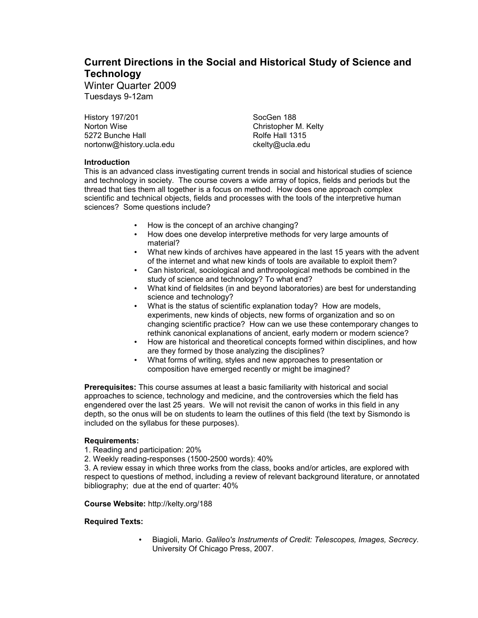# **Current Directions in the Social and Historical Study of Science and Technology**

Winter Quarter 2009 Tuesdays 9-12am

History 197/201 Norton Wise 5272 Bunche Hall nortonw@history.ucla.edu

SocGen 188 Christopher M. Kelty Rolfe Hall 1315 ckelty@ucla.edu

## **Introduction**

This is an advanced class investigating current trends in social and historical studies of science and technology in society. The course covers a wide array of topics, fields and periods but the thread that ties them all together is a focus on method. How does one approach complex scientific and technical objects, fields and processes with the tools of the interpretive human sciences? Some questions include?

- How is the concept of an archive changing?
- How does one develop interpretive methods for very large amounts of material?
- What new kinds of archives have appeared in the last 15 years with the advent of the internet and what new kinds of tools are available to exploit them?
- Can historical, sociological and anthropological methods be combined in the study of science and technology? To what end?
- What kind of fieldsites (in and beyond laboratories) are best for understanding science and technology?
- What is the status of scientific explanation today? How are models, experiments, new kinds of objects, new forms of organization and so on changing scientific practice? How can we use these contemporary changes to rethink canonical explanations of ancient, early modern or modern science?
- How are historical and theoretical concepts formed within disciplines, and how are they formed by those analyzing the disciplines?
- What forms of writing, styles and new approaches to presentation or composition have emerged recently or might be imagined?

**Prerequisites:** This course assumes at least a basic familiarity with historical and social approaches to science, technology and medicine, and the controversies which the field has engendered over the last 25 years. We will not revisit the canon of works in this field in any depth, so the onus will be on students to learn the outlines of this field (the text by Sismondo is included on the syllabus for these purposes).

## **Requirements:**

1. Reading and participation: 20%

2. Weekly reading-responses (1500-2500 words): 40%

3. A review essay in which three works from the class, books and/or articles, are explored with respect to questions of method, including a review of relevant background literature, or annotated bibliography; due at the end of quarter: 40%

## **Course Website:** http://kelty.org/188

## **Required Texts:**

• Biagioli, Mario. *Galileo's Instruments of Credit: Telescopes, Images, Secrecy*. University Of Chicago Press, 2007.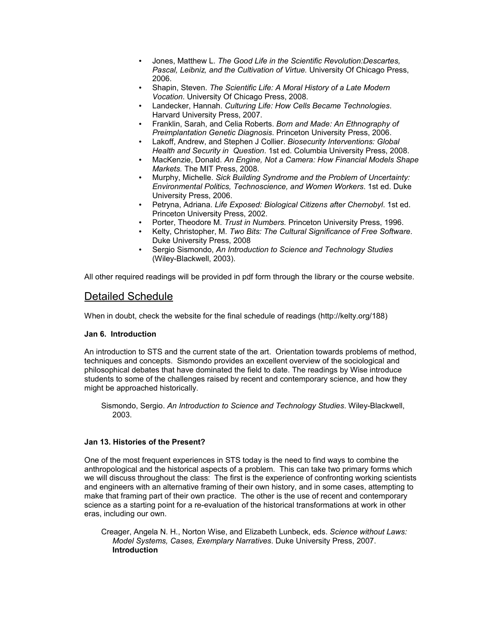- Jones, Matthew L. *The Good Life in the Scientific Revolution:Descartes, Pascal, Leibniz, and the Cultivation of Virtue.* University Of Chicago Press, 2006.
- Shapin, Steven. *The Scientific Life: A Moral History of a Late Modern Vocation*. University Of Chicago Press, 2008.
- Landecker, Hannah. *Culturing Life: How Cells Became Technologies*. Harvard University Press, 2007.
- Franklin, Sarah, and Celia Roberts. *Born and Made: An Ethnography of Preimplantation Genetic Diagnosis*. Princeton University Press, 2006.
- Lakoff, Andrew, and Stephen J Collier. *Biosecurity Interventions: Global Health and Security in Question*. 1st ed. Columbia University Press, 2008.
- MacKenzie, Donald. *An Engine, Not a Camera: How Financial Models Shape Markets.* The MIT Press, 2008.
- Murphy, Michelle. *Sick Building Syndrome and the Problem of Uncertainty: Environmental Politics, Technoscience, and Women Workers*. 1st ed. Duke University Press, 2006.
- Petryna, Adriana. *Life Exposed: Biological Citizens after Chernobyl*. 1st ed. Princeton University Press, 2002.
- Porter, Theodore M. *Trust in Numbers.* Princeton University Press, 1996.
- Kelty, Christopher, M. *Two Bits: The Cultural Significance of Free Software*. Duke University Press, 2008
- Sergio Sismondo, *An Introduction to Science and Technology Studies* (Wiley-Blackwell, 2003).

All other required readings will be provided in pdf form through the library or the course website.

## Detailed Schedule

When in doubt, check the website for the final schedule of readings (http://kelty.org/188)

## **Jan 6. Introduction**

An introduction to STS and the current state of the art. Orientation towards problems of method, techniques and concepts. Sismondo provides an excellent overview of the sociological and philosophical debates that have dominated the field to date. The readings by Wise introduce students to some of the challenges raised by recent and contemporary science, and how they might be approached historically.

Sismondo, Sergio. *An Introduction to Science and Technology Studies*. Wiley-Blackwell, 2003.

## **Jan 13. Histories of the Present?**

One of the most frequent experiences in STS today is the need to find ways to combine the anthropological and the historical aspects of a problem. This can take two primary forms which we will discuss throughout the class: The first is the experience of confronting working scientists and engineers with an alternative framing of their own history, and in some cases, attempting to make that framing part of their own practice. The other is the use of recent and contemporary science as a starting point for a re-evaluation of the historical transformations at work in other eras, including our own.

Creager, Angela N. H., Norton Wise, and Elizabeth Lunbeck, eds. *Science without Laws: Model Systems, Cases, Exemplary Narratives*. Duke University Press, 2007. **Introduction**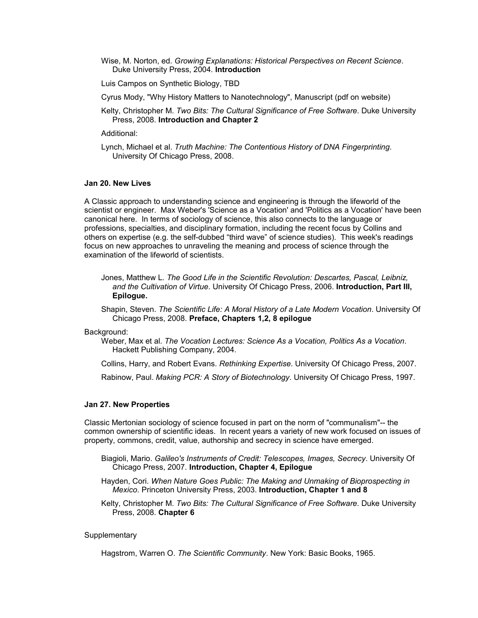- Wise, M. Norton, ed. *Growing Explanations: Historical Perspectives on Recent Science*. Duke University Press, 2004. **Introduction**
- Luis Campos on Synthetic Biology, TBD
- Cyrus Mody, "Why History Matters to Nanotechnology", Manuscript (pdf on website)
- Kelty, Christopher M. *Two Bits: The Cultural Significance of Free Software*. Duke University Press, 2008. **Introduction and Chapter 2**

Additional:

Lynch, Michael et al. *Truth Machine: The Contentious History of DNA Fingerprinting*. University Of Chicago Press, 2008.

#### **Jan 20. New Lives**

A Classic approach to understanding science and engineering is through the lifeworld of the scientist or engineer. Max Weber's 'Science as a Vocation' and 'Politics as a Vocation' have been canonical here. In terms of sociology of science, this also connects to the language or professions, specialties, and disciplinary formation, including the recent focus by Collins and others on expertise (e.g. the self-dubbed "third wave" of science studies). This week's readings focus on new approaches to unraveling the meaning and process of science through the examination of the lifeworld of scientists.

Jones, Matthew L. *The Good Life in the Scientific Revolution: Descartes, Pascal, Leibniz, and the Cultivation of Virtue*. University Of Chicago Press, 2006. **Introduction, Part III, Epilogue.**

Shapin, Steven. *The Scientific Life: A Moral History of a Late Modern Vocation*. University Of Chicago Press, 2008. **Preface, Chapters 1,2, 8 epilogue**

#### Background:

Weber, Max et al. *The Vocation Lectures: Science As a Vocation, Politics As a Vocation*. Hackett Publishing Company, 2004.

Collins, Harry, and Robert Evans. *Rethinking Expertise*. University Of Chicago Press, 2007.

Rabinow, Paul. *Making PCR: A Story of Biotechnology*. University Of Chicago Press, 1997.

#### **Jan 27. New Properties**

Classic Mertonian sociology of science focused in part on the norm of "communalism"-- the common ownership of scientific ideas. In recent years a variety of new work focused on issues of property, commons, credit, value, authorship and secrecy in science have emerged.

- Biagioli, Mario. *Galileo's Instruments of Credit: Telescopes, Images, Secrecy*. University Of Chicago Press, 2007. **Introduction, Chapter 4, Epilogue**
- Hayden, Cori. *When Nature Goes Public: The Making and Unmaking of Bioprospecting in Mexico*. Princeton University Press, 2003. **Introduction, Chapter 1 and 8**

Kelty, Christopher M. *Two Bits: The Cultural Significance of Free Software*. Duke University Press, 2008. **Chapter 6**

#### **Supplementary**

Hagstrom, Warren O. *The Scientific Community*. New York: Basic Books, 1965.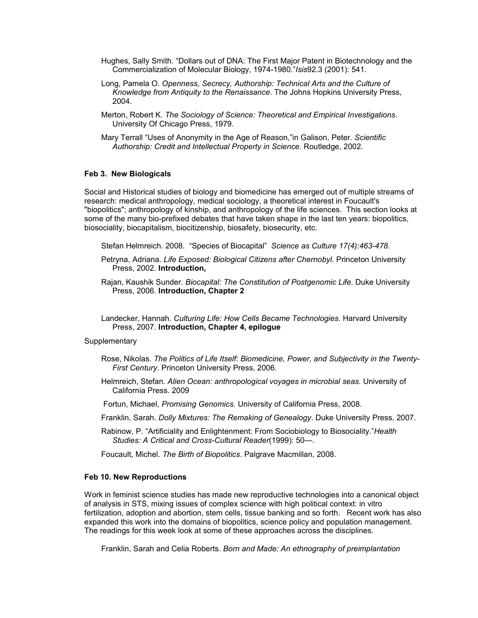- Hughes, Sally Smith. "Dollars out of DNA: The First Major Patent in Biotechnology and the Commercialization of Molecular Biology, 1974-1980."*Isis*92.3 (2001): 541.
- Long, Pamela O. *Openness, Secrecy, Authorship: Technical Arts and the Culture of Knowledge from Antiquity to the Renaissance*. The Johns Hopkins University Press, 2004.
- Merton, Robert K. *The Sociology of Science: Theoretical and Empirical Investigations*. University Of Chicago Press, 1979.
- Mary Terrall "Uses of Anonymity in the Age of Reason,"in Galison, Peter. *Scientific Authorship: Credit and Intellectual Property in Science*. Routledge, 2002.

#### **Feb 3. New Biologicals**

Social and Historical studies of biology and biomedicine has emerged out of multiple streams of research: medical anthropology, medical sociology, a theoretical interest in Foucault's "biopolitics"; anthropology of kinship, and anthropology of the life sciences. This section looks at some of the many bio-prefixed debates that have taken shape in the last ten years: biopolitics, biosociality, biocapitalism, biocitizenship, biosafety, biosecurity, etc.

Stefan Helmreich. 2008. "Species of Biocapital" *Science as Culture 17(4):463-478.*

Petryna, Adriana. *Life Exposed: Biological Citizens after Chernobyl*. Princeton University Press, 2002. **Introduction,** 

Rajan, Kaushik Sunder. *Biocapital: The Constitution of Postgenomic Life*. Duke University Press, 2006. **Introduction, Chapter 2**

Landecker, Hannah. *Culturing Life: How Cells Became Technologies*. Harvard University Press, 2007. **Introduction, Chapter 4, epilogue**

**Supplementary** 

- Rose, Nikolas. *The Politics of Life Itself: Biomedicine, Power, and Subjectivity in the Twenty-First Century*. Princeton University Press, 2006.
- Helmreich, Stefan. *Alien Ocean: anthropological voyages in microbial seas.* University of California Press. 2009
- Fortun, Michael, *Promising Genomics.* University of California Press, 2008.
- Franklin, Sarah. *Dolly Mixtures: The Remaking of Genealogy*. Duke University Press, 2007.
- Rabinow, P. "Artificiality and Enlightenment: From Sociobiology to Biosociality."*Health Studies: A Critical and Cross-Cultural Reader*(1999): 50―.

Foucault, Michel. *The Birth of Biopolitics*. Palgrave Macmillan, 2008.

#### **Feb 10. New Reproductions**

Work in feminist science studies has made new reproductive technologies into a canonical object of analysis in STS, mixing issues of complex science with high political context: in vitro fertilization, adoption and abortion, stem cells, tissue banking and so forth. Recent work has also expanded this work into the domains of biopolitics, science policy and population management. The readings for this week look at some of these approaches across the disciplines.

Franklin, Sarah and Celia Roberts. *Born and Made: An ethnography of preimplantation*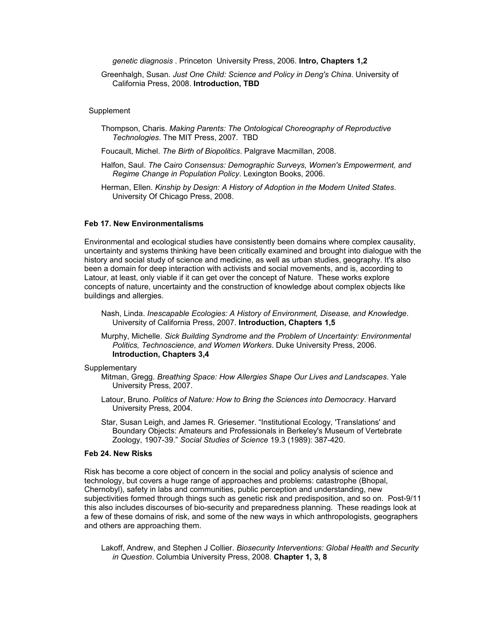*genetic diagnosis* . Princeton University Press, 2006. **Intro, Chapters 1,2**

Greenhalgh, Susan. *Just One Child: Science and Policy in Deng's China*. University of California Press, 2008. **Introduction, TBD**

#### Supplement

- Thompson, Charis. *Making Parents: The Ontological Choreography of Reproductive Technologies*. The MIT Press, 2007. TBD
- Foucault, Michel. *The Birth of Biopolitics*. Palgrave Macmillan, 2008.
- Halfon, Saul. *The Cairo Consensus: Demographic Surveys, Women's Empowerment, and Regime Change in Population Policy*. Lexington Books, 2006.
- Herman, Ellen. *Kinship by Design: A History of Adoption in the Modern United States*. University Of Chicago Press, 2008.

## **Feb 17. New Environmentalisms**

Environmental and ecological studies have consistently been domains where complex causality, uncertainty and systems thinking have been critically examined and brought into dialogue with the history and social study of science and medicine, as well as urban studies, geography. It's also been a domain for deep interaction with activists and social movements, and is, according to Latour, at least, only viable if it can get over the concept of Nature. These works explore concepts of nature, uncertainty and the construction of knowledge about complex objects like buildings and allergies.

- Nash, Linda. *Inescapable Ecologies: A History of Environment, Disease, and Knowledge*. University of California Press, 2007. **Introduction, Chapters 1,5**
- Murphy, Michelle. *Sick Building Syndrome and the Problem of Uncertainty: Environmental Politics, Technoscience, and Women Workers*. Duke University Press, 2006. **Introduction, Chapters 3,4**

#### **Supplementary**

- Mitman, Gregg. *Breathing Space: How Allergies Shape Our Lives and Landscapes*. Yale University Press, 2007.
- Latour, Bruno. *Politics of Nature: How to Bring the Sciences into Democracy*. Harvard University Press, 2004.
- Star, Susan Leigh, and James R. Griesemer. "Institutional Ecology, 'Translations' and Boundary Objects: Amateurs and Professionals in Berkeley's Museum of Vertebrate Zoology, 1907-39." *Social Studies of Science* 19.3 (1989): 387-420.

#### **Feb 24. New Risks**

Risk has become a core object of concern in the social and policy analysis of science and technology, but covers a huge range of approaches and problems: catastrophe (Bhopal, Chernobyl), safety in labs and communities, public perception and understanding, new subjectivities formed through things such as genetic risk and predisposition, and so on. Post-9/11 this also includes discourses of bio-security and preparedness planning. These readings look at a few of these domains of risk, and some of the new ways in which anthropologists, geographers and others are approaching them.

Lakoff, Andrew, and Stephen J Collier. *Biosecurity Interventions: Global Health and Security in Question*. Columbia University Press, 2008. **Chapter 1, 3, 8**